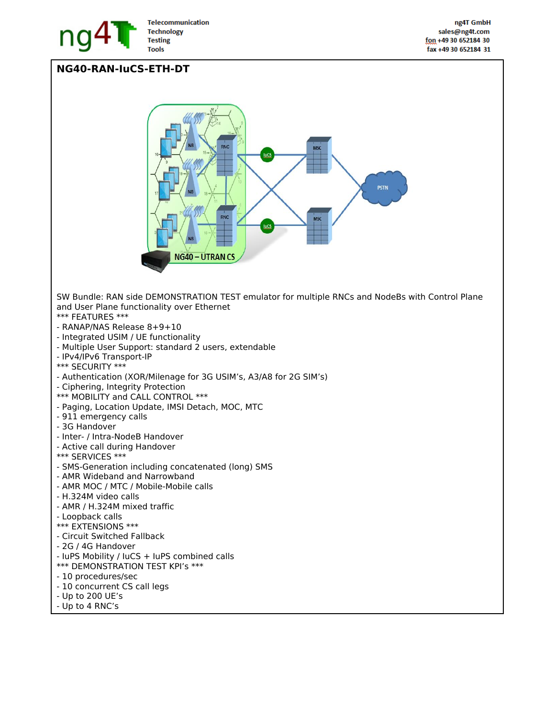

## **NG40-RAN-IuCS-ETH-DT**

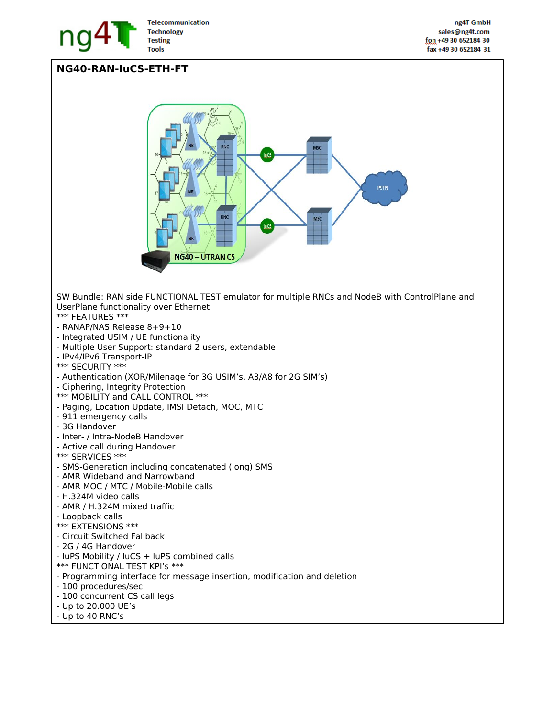

## **NG40-RAN-IuCS-ETH-FT**